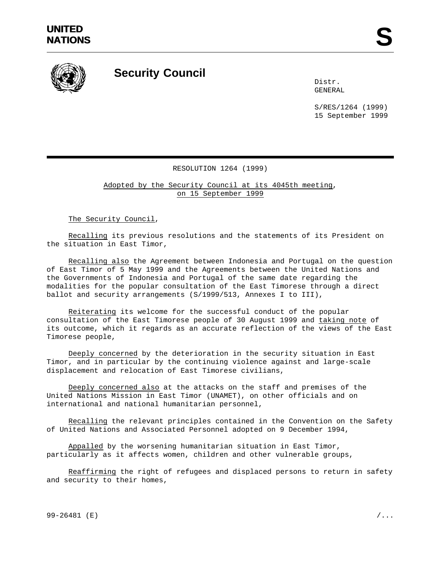

## **Security Council**

Distr. GENERAL

S/RES/1264 (1999) 15 September 1999

## RESOLUTION 1264 (1999)

Adopted by the Security Council at its 4045th meeting, on 15 September 1999

The Security Council,

Recalling its previous resolutions and the statements of its President on the situation in East Timor,

Recalling also the Agreement between Indonesia and Portugal on the question of East Timor of 5 May 1999 and the Agreements between the United Nations and the Governments of Indonesia and Portugal of the same date regarding the modalities for the popular consultation of the East Timorese through a direct ballot and security arrangements (S/1999/513, Annexes I to III),

Reiterating its welcome for the successful conduct of the popular consultation of the East Timorese people of 30 August 1999 and taking note of its outcome, which it regards as an accurate reflection of the views of the East Timorese people,

Deeply concerned by the deterioration in the security situation in East Timor, and in particular by the continuing violence against and large-scale displacement and relocation of East Timorese civilians,

Deeply concerned also at the attacks on the staff and premises of the United Nations Mission in East Timor (UNAMET), on other officials and on international and national humanitarian personnel,

Recalling the relevant principles contained in the Convention on the Safety of United Nations and Associated Personnel adopted on 9 December 1994,

Appalled by the worsening humanitarian situation in East Timor, particularly as it affects women, children and other vulnerable groups,

Reaffirming the right of refugees and displaced persons to return in safety and security to their homes,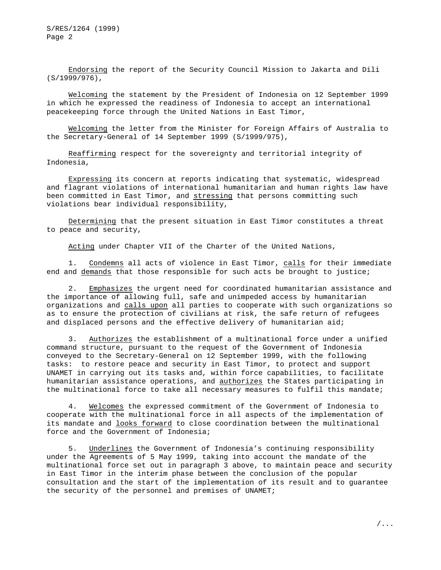S/RES/1264 (1999) Page 2

Endorsing the report of the Security Council Mission to Jakarta and Dili (S/1999/976),

Welcoming the statement by the President of Indonesia on 12 September 1999 in which he expressed the readiness of Indonesia to accept an international peacekeeping force through the United Nations in East Timor,

Welcoming the letter from the Minister for Foreign Affairs of Australia to the Secretary-General of 14 September 1999 (S/1999/975),

Reaffirming respect for the sovereignty and territorial integrity of Indonesia,

Expressing its concern at reports indicating that systematic, widespread and flagrant violations of international humanitarian and human rights law have been committed in East Timor, and stressing that persons committing such violations bear individual responsibility,

Determining that the present situation in East Timor constitutes a threat to peace and security,

Acting under Chapter VII of the Charter of the United Nations,

1. Condemns all acts of violence in East Timor, calls for their immediate end and demands that those responsible for such acts be brought to justice;

2. Emphasizes the urgent need for coordinated humanitarian assistance and the importance of allowing full, safe and unimpeded access by humanitarian organizations and calls upon all parties to cooperate with such organizations so as to ensure the protection of civilians at risk, the safe return of refugees and displaced persons and the effective delivery of humanitarian aid;

3. Authorizes the establishment of a multinational force under a unified command structure, pursuant to the request of the Government of Indonesia conveyed to the Secretary-General on 12 September 1999, with the following tasks: to restore peace and security in East Timor, to protect and support UNAMET in carrying out its tasks and, within force capabilities, to facilitate humanitarian assistance operations, and authorizes the States participating in the multinational force to take all necessary measures to fulfil this mandate;

4. Welcomes the expressed commitment of the Government of Indonesia to cooperate with the multinational force in all aspects of the implementation of its mandate and looks forward to close coordination between the multinational force and the Government of Indonesia;

5. Underlines the Government of Indonesia's continuing responsibility under the Agreements of 5 May 1999, taking into account the mandate of the multinational force set out in paragraph 3 above, to maintain peace and security in East Timor in the interim phase between the conclusion of the popular consultation and the start of the implementation of its result and to guarantee the security of the personnel and premises of UNAMET;